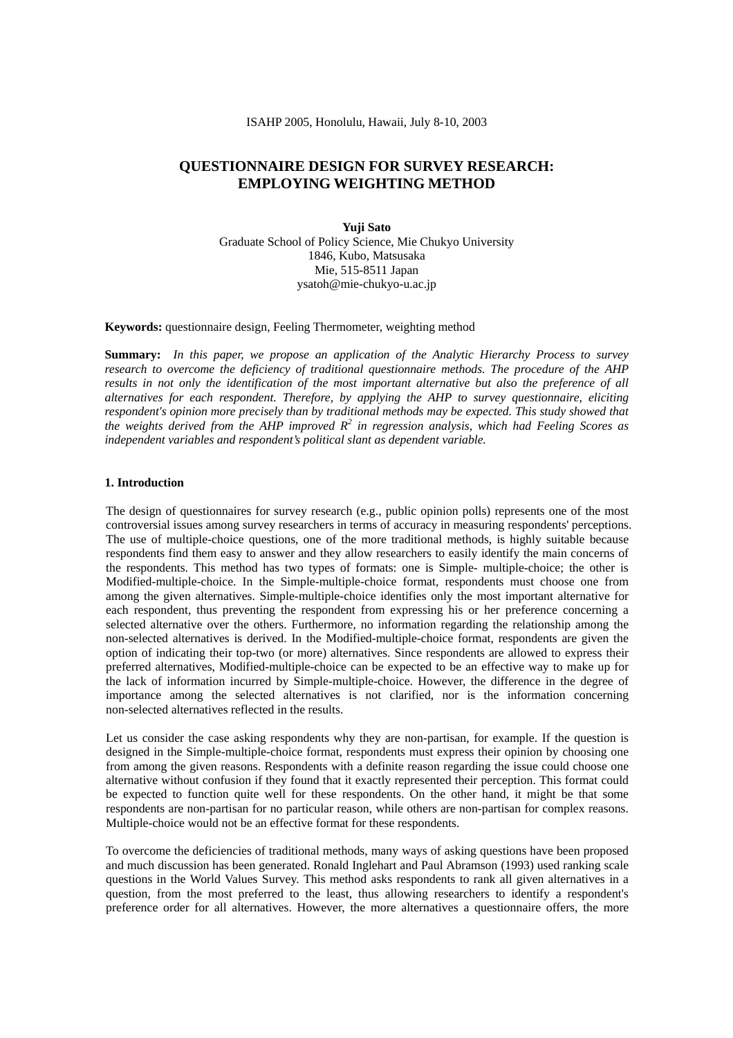#### ISAHP 2005, Honolulu, Hawaii, July 8-10, 2003

# **QUESTIONNAIRE DESIGN FOR SURVEY RESEARCH: EMPLOYING WEIGHTING METHOD**

**Yuji Sato**  Graduate School of Policy Science, Mie Chukyo University 1846, Kubo, Matsusaka Mie, 515-8511 Japan ysatoh@mie-chukyo-u.ac.jp

**Keywords:** questionnaire design, Feeling Thermometer, weighting method

**Summary:** *In this paper, we propose an application of the Analytic Hierarchy Process to survey research to overcome the deficiency of traditional questionnaire methods. The procedure of the AHP results in not only the identification of the most important alternative but also the preference of all alternatives for each respondent. Therefore, by applying the AHP to survey questionnaire, eliciting respondent's opinion more precisely than by traditional methods may be expected. This study showed that the weights derived from the AHP improved R<sup>2</sup> in regression analysis, which had Feeling Scores as independent variables and respondent's political slant as dependent variable.* 

## **1. Introduction**

The design of questionnaires for survey research (e.g., public opinion polls) represents one of the most controversial issues among survey researchers in terms of accuracy in measuring respondents' perceptions. The use of multiple-choice questions, one of the more traditional methods, is highly suitable because respondents find them easy to answer and they allow researchers to easily identify the main concerns of the respondents. This method has two types of formats: one is Simple- multiple-choice; the other is Modified-multiple-choice. In the Simple-multiple-choice format, respondents must choose one from among the given alternatives. Simple-multiple-choice identifies only the most important alternative for each respondent, thus preventing the respondent from expressing his or her preference concerning a selected alternative over the others. Furthermore, no information regarding the relationship among the non-selected alternatives is derived. In the Modified-multiple-choice format, respondents are given the option of indicating their top-two (or more) alternatives. Since respondents are allowed to express their preferred alternatives, Modified-multiple-choice can be expected to be an effective way to make up for the lack of information incurred by Simple-multiple-choice. However, the difference in the degree of importance among the selected alternatives is not clarified, nor is the information concerning non-selected alternatives reflected in the results.

Let us consider the case asking respondents why they are non-partisan, for example. If the question is designed in the Simple-multiple-choice format, respondents must express their opinion by choosing one from among the given reasons. Respondents with a definite reason regarding the issue could choose one alternative without confusion if they found that it exactly represented their perception. This format could be expected to function quite well for these respondents. On the other hand, it might be that some respondents are non-partisan for no particular reason, while others are non-partisan for complex reasons. Multiple-choice would not be an effective format for these respondents.

To overcome the deficiencies of traditional methods, many ways of asking questions have been proposed and much discussion has been generated. Ronald Inglehart and Paul Abramson (1993) used ranking scale questions in the World Values Survey. This method asks respondents to rank all given alternatives in a question, from the most preferred to the least, thus allowing researchers to identify a respondent's preference order for all alternatives. However, the more alternatives a questionnaire offers, the more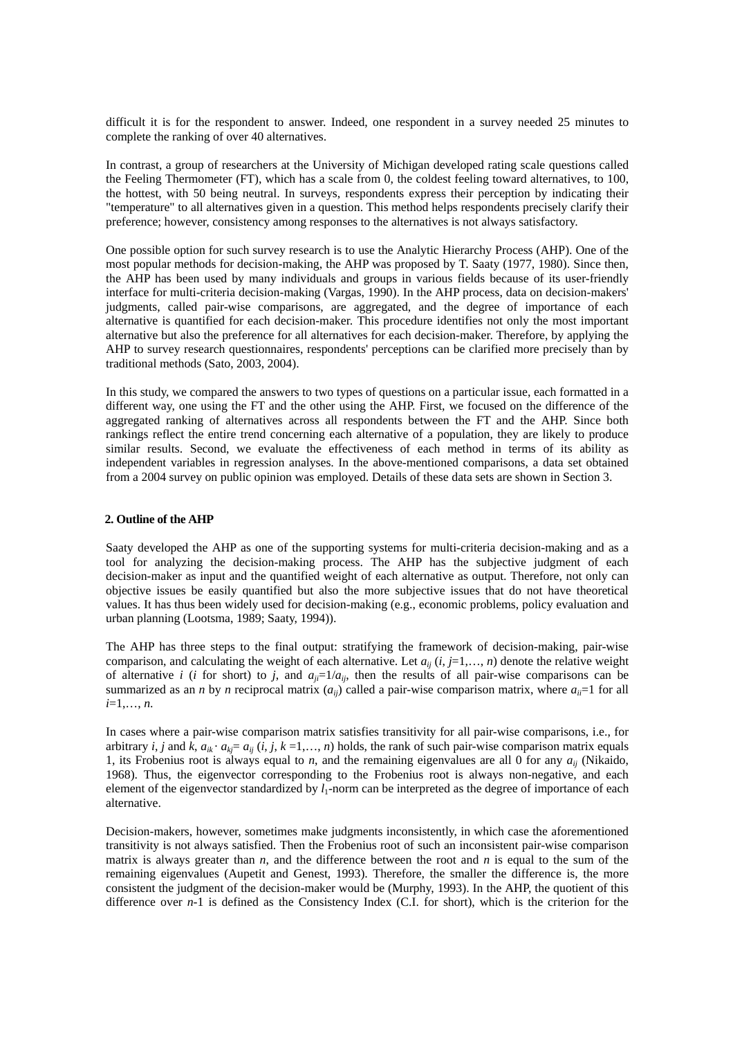difficult it is for the respondent to answer. Indeed, one respondent in a survey needed 25 minutes to complete the ranking of over 40 alternatives.

In contrast, a group of researchers at the University of Michigan developed rating scale questions called the Feeling Thermometer (FT), which has a scale from 0, the coldest feeling toward alternatives, to 100, the hottest, with 50 being neutral. In surveys, respondents express their perception by indicating their "temperature" to all alternatives given in a question. This method helps respondents precisely clarify their preference; however, consistency among responses to the alternatives is not always satisfactory.

One possible option for such survey research is to use the Analytic Hierarchy Process (AHP). One of the most popular methods for decision-making, the AHP was proposed by T. Saaty (1977, 1980). Since then, the AHP has been used by many individuals and groups in various fields because of its user-friendly interface for multi-criteria decision-making (Vargas, 1990). In the AHP process, data on decision-makers' judgments, called pair-wise comparisons, are aggregated, and the degree of importance of each alternative is quantified for each decision-maker. This procedure identifies not only the most important alternative but also the preference for all alternatives for each decision-maker. Therefore, by applying the AHP to survey research questionnaires, respondents' perceptions can be clarified more precisely than by traditional methods (Sato, 2003, 2004).

In this study, we compared the answers to two types of questions on a particular issue, each formatted in a different way, one using the FT and the other using the AHP. First, we focused on the difference of the aggregated ranking of alternatives across all respondents between the FT and the AHP. Since both rankings reflect the entire trend concerning each alternative of a population, they are likely to produce similar results. Second, we evaluate the effectiveness of each method in terms of its ability as independent variables in regression analyses. In the above-mentioned comparisons, a data set obtained from a 2004 survey on public opinion was employed. Details of these data sets are shown in Section 3.

## **2. Outline of the AHP**

Saaty developed the AHP as one of the supporting systems for multi-criteria decision-making and as a tool for analyzing the decision-making process. The AHP has the subjective judgment of each decision-maker as input and the quantified weight of each alternative as output. Therefore, not only can objective issues be easily quantified but also the more subjective issues that do not have theoretical values. It has thus been widely used for decision-making (e.g., economic problems, policy evaluation and urban planning (Lootsma, 1989; Saaty, 1994)).

The AHP has three steps to the final output: stratifying the framework of decision-making, pair-wise comparison, and calculating the weight of each alternative. Let  $a_{ij}$   $(i, j=1,..., n)$  denote the relative weight of alternative *i* (*i* for short) to *j*, and  $a_{ij}=1/a_{ij}$ , then the results of all pair-wise comparisons can be summarized as an *n* by *n* reciprocal matrix  $(a_{ii})$  called a pair-wise comparison matrix, where  $a_{ii}=1$  for all *i*=1,…, *n*.

In cases where a pair-wise comparison matrix satisfies transitivity for all pair-wise comparisons, i.e., for arbitrary *i*, *j* and *k*,  $a_{ik} \cdot a_{ki} = a_{ij}$  (*i*, *j*,  $k = 1, \ldots, n$ ) holds, the rank of such pair-wise comparison matrix equals 1, its Frobenius root is always equal to *n*, and the remaining eigenvalues are all 0 for any  $a_{ij}$  (Nikaido, 1968). Thus, the eigenvector corresponding to the Frobenius root is always non-negative, and each element of the eigenvector standardized by  $l_1$ -norm can be interpreted as the degree of importance of each alternative.

Decision-makers, however, sometimes make judgments inconsistently, in which case the aforementioned transitivity is not always satisfied. Then the Frobenius root of such an inconsistent pair-wise comparison matrix is always greater than  $n$ , and the difference between the root and  $n$  is equal to the sum of the remaining eigenvalues (Aupetit and Genest, 1993). Therefore, the smaller the difference is, the more consistent the judgment of the decision-maker would be (Murphy, 1993). In the AHP, the quotient of this difference over *n*-1 is defined as the Consistency Index (C.I. for short), which is the criterion for the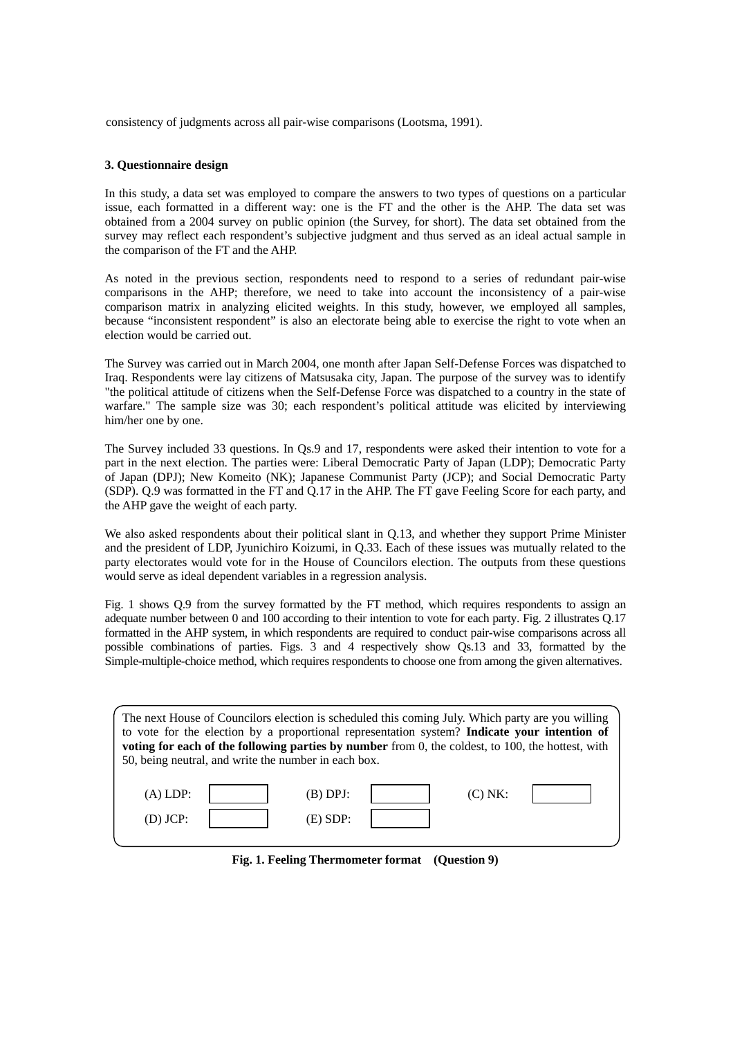consistency of judgments across all pair-wise comparisons (Lootsma, 1991).

## **3. Questionnaire design**

In this study, a data set was employed to compare the answers to two types of questions on a particular issue, each formatted in a different way: one is the FT and the other is the AHP. The data set was obtained from a 2004 survey on public opinion (the Survey, for short). The data set obtained from the survey may reflect each respondent's subjective judgment and thus served as an ideal actual sample in the comparison of the FT and the AHP.

As noted in the previous section, respondents need to respond to a series of redundant pair-wise comparisons in the AHP; therefore, we need to take into account the inconsistency of a pair-wise comparison matrix in analyzing elicited weights. In this study, however, we employed all samples, because "inconsistent respondent" is also an electorate being able to exercise the right to vote when an election would be carried out.

The Survey was carried out in March 2004, one month after Japan Self-Defense Forces was dispatched to Iraq. Respondents were lay citizens of Matsusaka city, Japan. The purpose of the survey was to identify "the political attitude of citizens when the Self-Defense Force was dispatched to a country in the state of warfare." The sample size was 30; each respondent's political attitude was elicited by interviewing him/her one by one.

The Survey included 33 questions. In Qs.9 and 17, respondents were asked their intention to vote for a part in the next election. The parties were: Liberal Democratic Party of Japan (LDP); Democratic Party of Japan (DPJ); New Komeito (NK); Japanese Communist Party (JCP); and Social Democratic Party (SDP). Q.9 was formatted in the FT and Q.17 in the AHP. The FT gave Feeling Score for each party, and the AHP gave the weight of each party.

We also asked respondents about their political slant in Q.13, and whether they support Prime Minister and the president of LDP, Jyunichiro Koizumi, in Q.33. Each of these issues was mutually related to the party electorates would vote for in the House of Councilors election. The outputs from these questions would serve as ideal dependent variables in a regression analysis.

Fig. 1 shows Q.9 from the survey formatted by the FT method, which requires respondents to assign an adequate number between 0 and 100 according to their intention to vote for each party. Fig. 2 illustrates Q.17 formatted in the AHP system, in which respondents are required to conduct pair-wise comparisons across all possible combinations of parties. Figs. 3 and 4 respectively show Qs.13 and 33, formatted by the Simple-multiple-choice method, which requires respondents to choose one from among the given alternatives.

The next House of Councilors election is scheduled this coming July. Which party are you willing to vote for the election by a proportional representation system? **Indicate your intention of voting for each of the following parties by number** from 0, the coldest, to 100, the hottest, with 50, being neutral, and write the number in each box.



**Fig. 1. Feeling Thermometer format (Question 9)**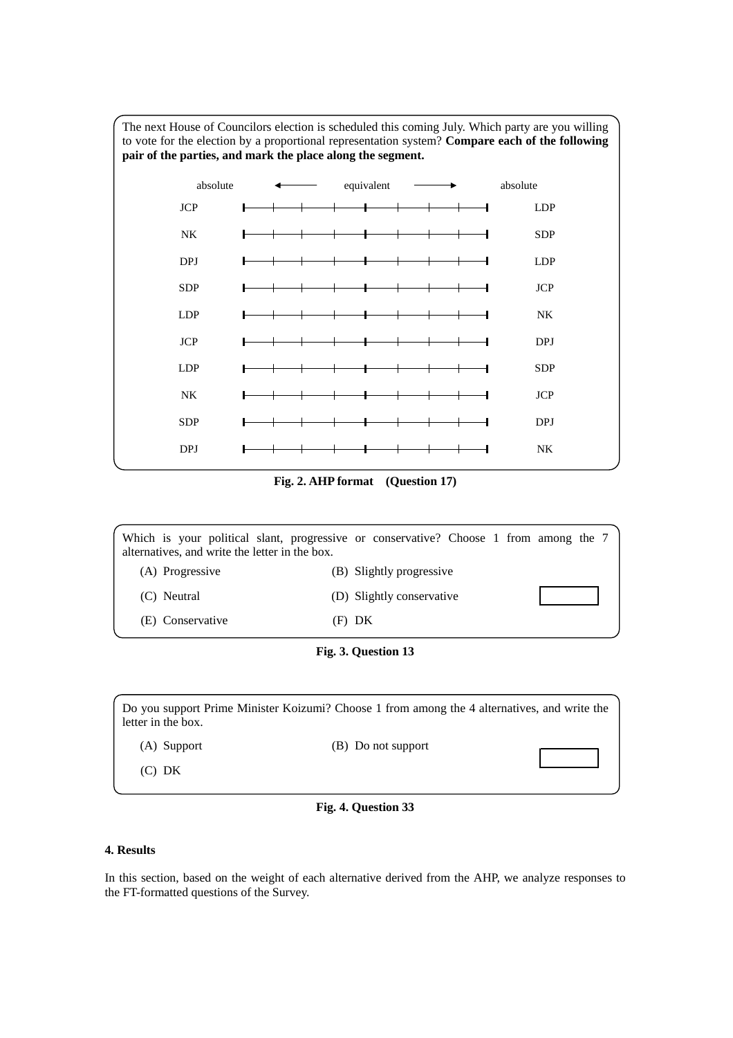The next House of Councilors election is scheduled this coming July. Which party are you willing to vote for the election by a proportional representation system? **Compare each of the following pair of the parties, and mark the place along the segment.**



**Fig. 2. AHP format (Question 17)** 

| alternatives, and write the letter in the box. | Which is your political slant, progressive or conservative? Choose 1 from among the 7 |  |
|------------------------------------------------|---------------------------------------------------------------------------------------|--|
| (A) Progressive                                | (B) Slightly progressive                                                              |  |
| (C) Neutral                                    | (D) Slightly conservative                                                             |  |
| (E) Conservative                               | (F) DK                                                                                |  |
|                                                |                                                                                       |  |

# **Fig. 3. Question 13**

Do you support Prime Minister Koizumi? Choose 1 from among the 4 alternatives, and write the letter in the box.

(A) Support (B) Do not support

(C) DK

**Fig. 4. Question 33** 

#### **4. Results**

In this section, based on the weight of each alternative derived from the AHP, we analyze responses to the FT-formatted questions of the Survey.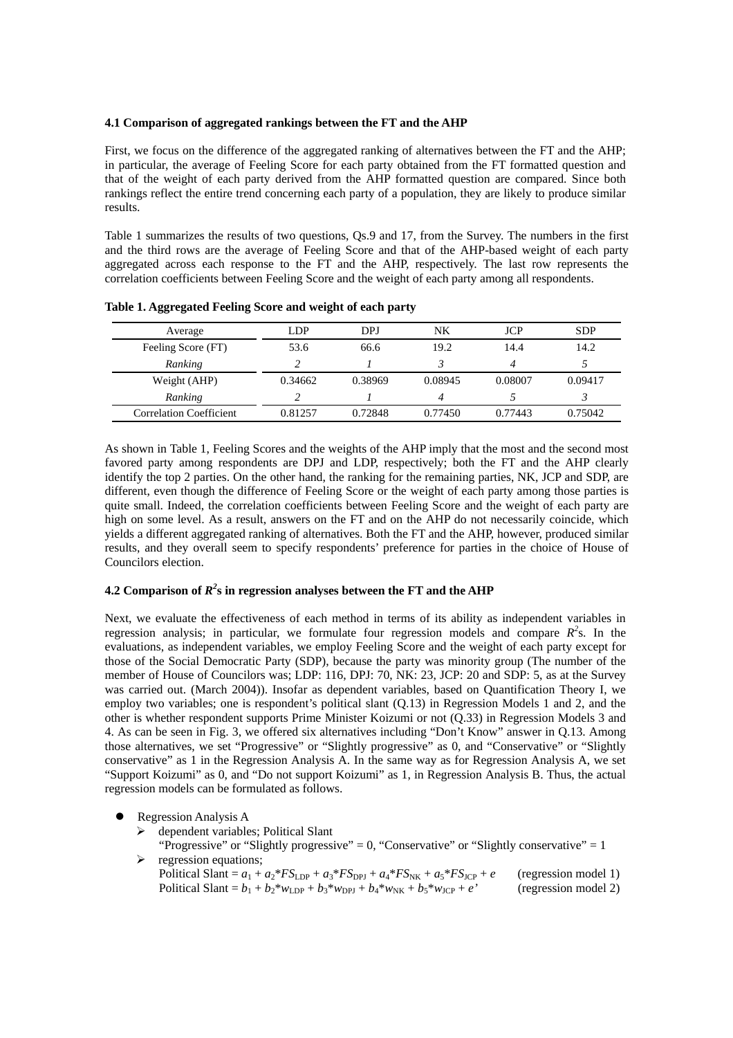## **4.1 Comparison of aggregated rankings between the FT and the AHP**

First, we focus on the difference of the aggregated ranking of alternatives between the FT and the AHP; in particular, the average of Feeling Score for each party obtained from the FT formatted question and that of the weight of each party derived from the AHP formatted question are compared. Since both rankings reflect the entire trend concerning each party of a population, they are likely to produce similar results.

Table 1 summarizes the results of two questions, Qs.9 and 17, from the Survey. The numbers in the first and the third rows are the average of Feeling Score and that of the AHP-based weight of each party aggregated across each response to the FT and the AHP, respectively. The last row represents the correlation coefficients between Feeling Score and the weight of each party among all respondents.

| Average                        | LDP     | DPJ     | NΚ      | <b>JCP</b> | <b>SDP</b> |
|--------------------------------|---------|---------|---------|------------|------------|
| Feeling Score (FT)             | 53.6    | 66.6    | 19.2    | 14.4       | 14.2       |
| Ranking                        |         |         |         |            |            |
| Weight (AHP)                   | 0.34662 | 0.38969 | 0.08945 | 0.08007    | 0.09417    |
| Ranking                        |         |         | 4       |            |            |
| <b>Correlation Coefficient</b> | 0.81257 | 0.72848 | 0.77450 | 0.77443    | 0.75042    |

**Table 1. Aggregated Feeling Score and weight of each party** 

As shown in Table 1, Feeling Scores and the weights of the AHP imply that the most and the second most favored party among respondents are DPJ and LDP, respectively; both the FT and the AHP clearly identify the top 2 parties. On the other hand, the ranking for the remaining parties, NK, JCP and SDP, are different, even though the difference of Feeling Score or the weight of each party among those parties is quite small. Indeed, the correlation coefficients between Feeling Score and the weight of each party are high on some level. As a result, answers on the FT and on the AHP do not necessarily coincide, which yields a different aggregated ranking of alternatives. Both the FT and the AHP, however, produced similar results, and they overall seem to specify respondents' preference for parties in the choice of House of Councilors election.

## **4.2 Comparison of**  $R^2$ **s in regression analyses between the FT and the AHP**

Next, we evaluate the effectiveness of each method in terms of its ability as independent variables in regression analysis; in particular, we formulate four regression models and compare  $R^2$ s. In the evaluations, as independent variables, we employ Feeling Score and the weight of each party except for those of the Social Democratic Party (SDP), because the party was minority group (The number of the member of House of Councilors was; LDP: 116, DPJ: 70, NK: 23, JCP: 20 and SDP: 5, as at the Survey was carried out. (March 2004)). Insofar as dependent variables, based on Quantification Theory I, we employ two variables; one is respondent's political slant (Q.13) in Regression Models 1 and 2, and the other is whether respondent supports Prime Minister Koizumi or not (Q.33) in Regression Models 3 and 4. As can be seen in Fig. 3, we offered six alternatives including "Don't Know" answer in Q.13. Among those alternatives, we set "Progressive" or "Slightly progressive" as 0, and "Conservative" or "Slightly conservative" as 1 in the Regression Analysis A. In the same way as for Regression Analysis A, we set "Support Koizumi" as 0, and "Do not support Koizumi" as 1, in Regression Analysis B. Thus, the actual regression models can be formulated as follows.

- $\bullet$  Regression Analysis A
	- $\triangleright$  dependent variables; Political Slant

"Progressive" or "Slightly progressive" = 0, "Conservative" or "Slightly conservative" = 1  $\triangleright$  regression equations;

Political Slant =  $a_1 + a_2 * FS_{\text{LDP}} + a_3 * FS_{\text{DPI}} + a_4 * FS_{\text{NK}} + a_5 * FS_{\text{ICP}} + e$  (regression model 1)<br>Political Slant =  $b_1 + b_2 * w_{\text{IDP}} + b_3 * w_{\text{DPI}} + b_4 * w_{\text{NK}} + b_5 * w_{\text{ICP}} + e'$  (regression model 2) Political Slant =  $b_1 + b_2 * w_{\text{LDP}} + b_3 * w_{\text{DPJ}} + b_4 * w_{\text{NK}} + b_5 * w_{\text{ICP}} + e'$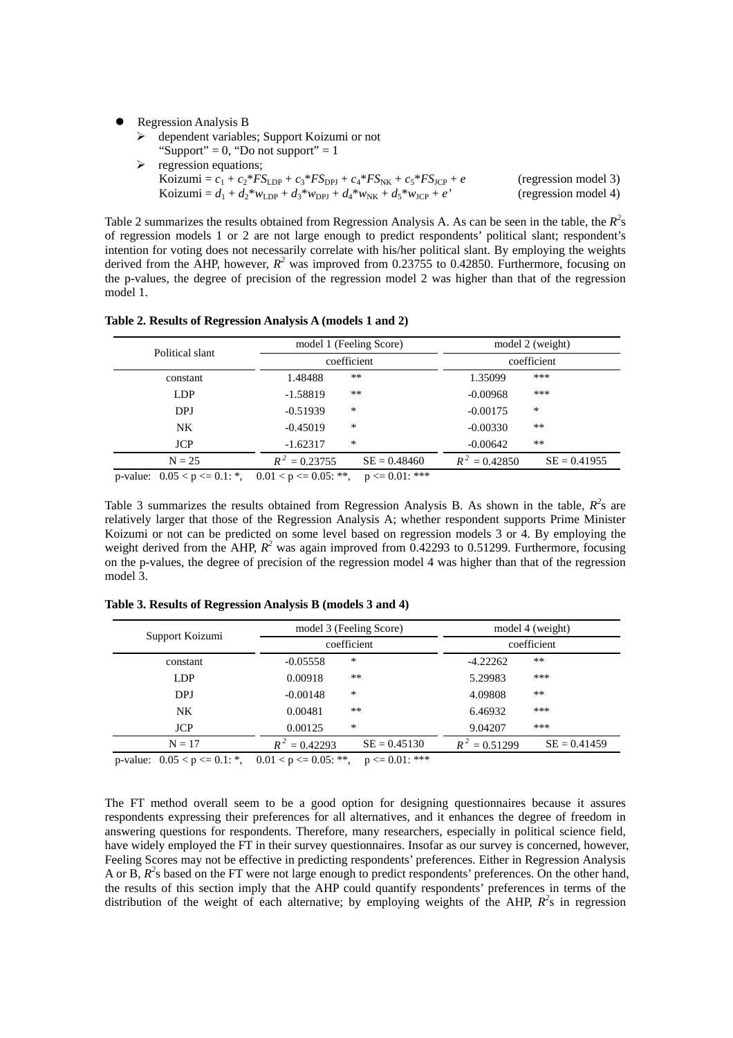Regression Analysis B

- ¾ dependent variables; Support Koizumi or not
- "Support" =  $0$ , "Do not support" = 1
- $\triangleright$  regression equations;  $Koizumi = c_1 + c_2 * FS_{LDP} + c_3 * FS_{DPI} + c_4 * FS_{NK} + c_5 * FS_{JCP} + e$  (regression model 3) Koizumi =  $d_1 + d_2 * w_{\text{LDP}} + d_3 * w_{\text{DPJ}} + d_4 * w_{\text{NK}} + d_5 * w_{\text{JCP}} + e'$  (regression model 4)

Table 2 summarizes the results obtained from Regression Analysis A. As can be seen in the table, the  $R^2$ s of regression models 1 or 2 are not large enough to predict respondents' political slant; respondent's intention for voting does not necessarily correlate with his/her political slant. By employing the weights derived from the AHP, however,  $R^2$  was improved from 0.23755 to 0.42850. Furthermore, focusing on the p-values, the degree of precision of the regression model 2 was higher than that of the regression model 1.

| Political slant                        | model 1 (Feeling Score)                               | model 2 (weight)<br>coefficient |  |
|----------------------------------------|-------------------------------------------------------|---------------------------------|--|
|                                        | coefficient                                           |                                 |  |
| constant                               | $***$<br>1.48488                                      | ***<br>1.35099                  |  |
| <b>LDP</b>                             | **<br>$-1.58819$                                      | ***<br>$-0.00968$               |  |
| DPJ                                    | $\ast$<br>$-0.51939$                                  | *<br>$-0.00175$                 |  |
| <b>NK</b>                              | $\ast$<br>$-0.45019$                                  | **<br>$-0.00330$                |  |
| <b>JCP</b>                             | $\ast$<br>$-1.62317$                                  | **<br>$-0.00642$                |  |
| $N = 25$                               | $R^2 = 0.23755$<br>$SE = 0.48460$                     | $SE = 0.41955$<br>$= 0.42850$   |  |
| n volue: $0.05 \times n \times 0.11$ * | $0.01 \times p \times -0.05$<br>$n \angle$ 0.01 $***$ |                                 |  |

**Table 2. Results of Regression Analysis A (models 1 and 2)** 

p-value:  $0.05 < p \le 0.1$ : \*,  $0.01 < p \le 0.05$ : \*\*,  $p \le 0.01$ :

Table 3 summarizes the results obtained from Regression Analysis B. As shown in the table,  $R^2$ s are relatively larger that those of the Regression Analysis A; whether respondent supports Prime Minister Koizumi or not can be predicted on some level based on regression models 3 or 4. By employing the weight derived from the AHP,  $R^2$  was again improved from 0.42293 to 0.51299. Furthermore, focusing on the p-values, the degree of precision of the regression model 4 was higher than that of the regression model 3.

| Support Koizumi                     | model 3 (Feeling Score)                               | model 4 (weight)<br>coefficient |  |
|-------------------------------------|-------------------------------------------------------|---------------------------------|--|
|                                     | coefficient                                           |                                 |  |
| constant                            | $\ast$<br>$-0.05558$                                  | **<br>$-4.22262$                |  |
| <b>LDP</b>                          | **<br>0.00918                                         | ***<br>5.29983                  |  |
| DPJ                                 | *<br>$-0.00148$                                       | **<br>4.09808                   |  |
| NK                                  | $***$<br>0.00481                                      | ***<br>6.46932                  |  |
| <b>JCP</b>                          | *<br>0.00125                                          | ***<br>9.04207                  |  |
| $N = 17$                            | $SE = 0.45130$<br>$R^2 = 0.42293$                     | $SE = 0.41459$<br>$t = 0.51299$ |  |
| $0.05 < n < 0.1 \cdot$ *<br>n value | $n \angle$ 0.01 $**$ *<br>$0.01 \times n \times 0.05$ |                                 |  |

| Table 3. Results of Regression Analysis B (models 3 and 4) |  |  |
|------------------------------------------------------------|--|--|
|------------------------------------------------------------|--|--|

p-value:  $0.05 < p \le 0.1$ : \*,  $0.01 < p \le 0.05$ : \*\*,  $p \le 0.01$ :

The FT method overall seem to be a good option for designing questionnaires because it assures respondents expressing their preferences for all alternatives, and it enhances the degree of freedom in answering questions for respondents. Therefore, many researchers, especially in political science field, have widely employed the FT in their survey questionnaires. Insofar as our survey is concerned, however, Feeling Scores may not be effective in predicting respondents' preferences. Either in Regression Analysis A or B,  $R^2$ s based on the FT were not large enough to predict respondents' preferences. On the other hand, the results of this section imply that the AHP could quantify respondents' preferences in terms of the distribution of the weight of each alternative; by employing weights of the AHP,  $R^2$ s in regression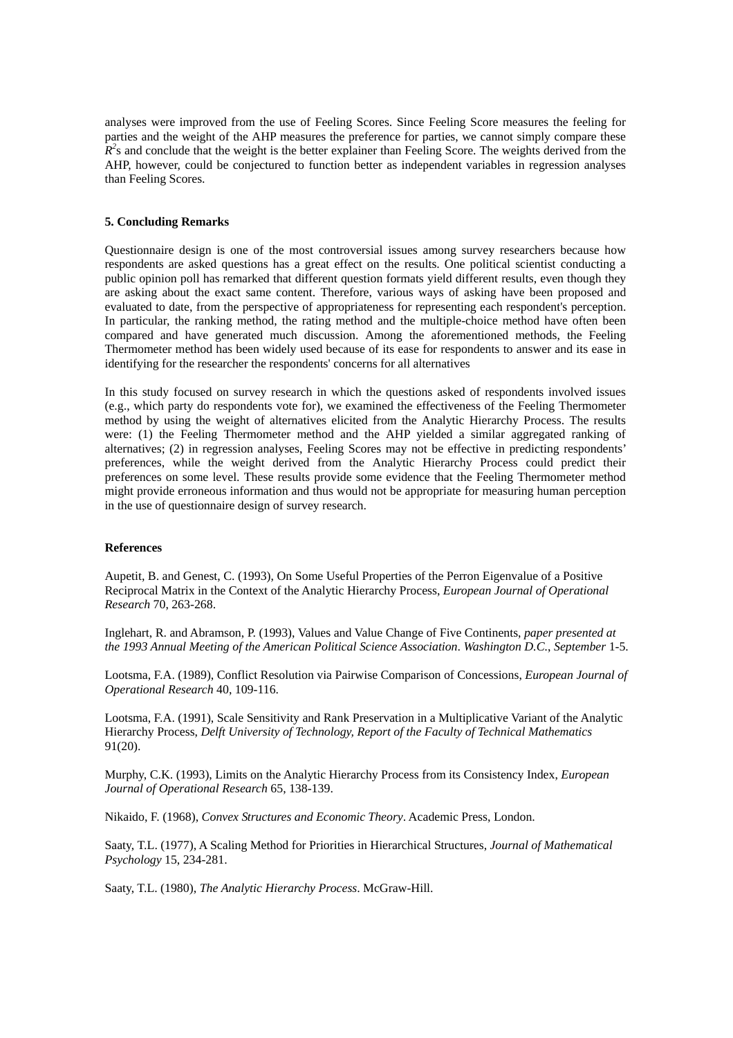analyses were improved from the use of Feeling Scores. Since Feeling Score measures the feeling for parties and the weight of the AHP measures the preference for parties, we cannot simply compare these  $R<sup>2</sup>$ s and conclude that the weight is the better explainer than Feeling Score. The weights derived from the AHP, however, could be conjectured to function better as independent variables in regression analyses than Feeling Scores.

## **5. Concluding Remarks**

Questionnaire design is one of the most controversial issues among survey researchers because how respondents are asked questions has a great effect on the results. One political scientist conducting a public opinion poll has remarked that different question formats yield different results, even though they are asking about the exact same content. Therefore, various ways of asking have been proposed and evaluated to date, from the perspective of appropriateness for representing each respondent's perception. In particular, the ranking method, the rating method and the multiple-choice method have often been compared and have generated much discussion. Among the aforementioned methods, the Feeling Thermometer method has been widely used because of its ease for respondents to answer and its ease in identifying for the researcher the respondents' concerns for all alternatives

In this study focused on survey research in which the questions asked of respondents involved issues (e.g., which party do respondents vote for), we examined the effectiveness of the Feeling Thermometer method by using the weight of alternatives elicited from the Analytic Hierarchy Process. The results were: (1) the Feeling Thermometer method and the AHP yielded a similar aggregated ranking of alternatives; (2) in regression analyses, Feeling Scores may not be effective in predicting respondents' preferences, while the weight derived from the Analytic Hierarchy Process could predict their preferences on some level. These results provide some evidence that the Feeling Thermometer method might provide erroneous information and thus would not be appropriate for measuring human perception in the use of questionnaire design of survey research.

## **References**

Aupetit, B. and Genest, C. (1993), On Some Useful Properties of the Perron Eigenvalue of a Positive Reciprocal Matrix in the Context of the Analytic Hierarchy Process, *European Journal of Operational Research* 70, 263-268.

Inglehart, R. and Abramson, P. (1993), Values and Value Change of Five Continents, *paper presented at the 1993 Annual Meeting of the American Political Science Association*. *Washington D.C.*, *September* 1-5.

Lootsma, F.A. (1989), Conflict Resolution via Pairwise Comparison of Concessions, *European Journal of Operational Research* 40, 109-116.

Lootsma, F.A. (1991), Scale Sensitivity and Rank Preservation in a Multiplicative Variant of the Analytic Hierarchy Process, *Delft University of Technology, Report of the Faculty of Technical Mathematics* 91(20).

Murphy, C.K. (1993), Limits on the Analytic Hierarchy Process from its Consistency Index, *European Journal of Operational Research* 65, 138-139.

Nikaido, F. (1968), *Convex Structures and Economic Theory*. Academic Press, London.

Saaty, T.L. (1977), A Scaling Method for Priorities in Hierarchical Structures, *Journal of Mathematical Psychology* 15, 234-281.

Saaty, T.L. (1980), *The Analytic Hierarchy Process*. McGraw-Hill.